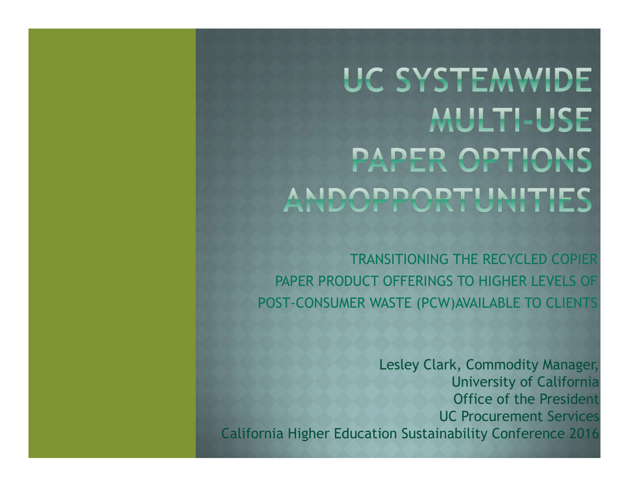TRANSITIONING THE RECYCLED COPIER PAPER PRODUCT OFFERINGS TO HIGHER LEVELS OF POST-CONSUMER WASTE (PCW)AVAILABLE TO CLIENTS

Lesley Clark, Commodity Manager, University of California Office of the President UC Procurement Services California Higher Education Sustainability Conference 2016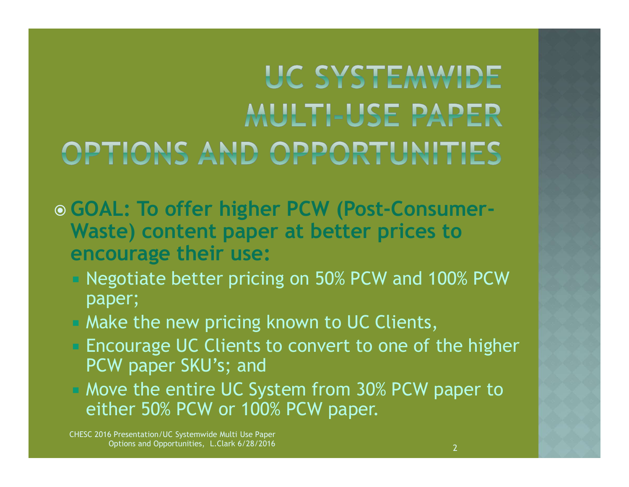- GOAL: To offer higher PCW (Post-Consumer-Waste) content paper at better prices to encourage their use:
	- **Negotiate better pricing on 50% PCW and 100% PCW** paper;
	- Make the new pricing known to UC Clients,
	- **Encourage UC Clients to convert to one of the higher** PCW paper SKU's; and
	- Move the entire UC System from 30% PCW paper to either 50% PCW or 100% PCW paper.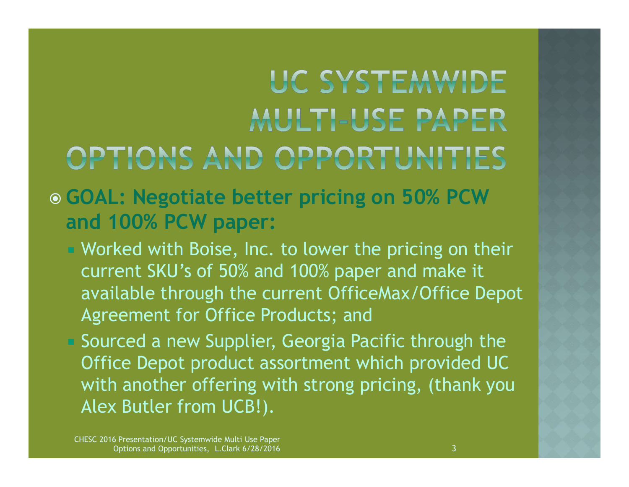- GOAL: Negotiate better pricing on 50% PCW and 100% PCW paper:
	- **Worked with Boise, Inc. to lower the pricing on their** current SKU's of 50% and 100% paper and make it available through the current OfficeMax/Office Depot Agreement for Office Products; and
	- Sourced a new Supplier, Georgia Pacific through the Office Depot product assortment which provided UC with another offering with strong pricing, (thank you Alex Butler from UCB!).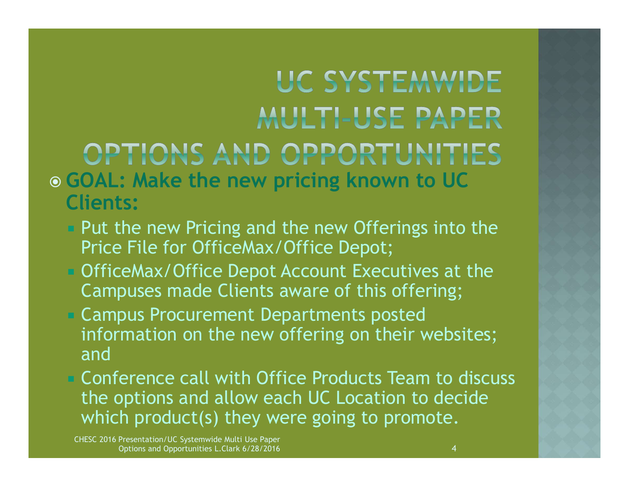#### UC SYSTEMWIDE **MULTI-USE PAPER** OPTIONS AND OPPORTUNITIES GOAL: Make the new pricing known to UC Clients:

- **Put the new Pricing and the new Offerings into the** Price File for OfficeMax/Office Depot;
- **OfficeMax/Office Depot Account Executives at the** Campuses made Clients aware of this offering;
- **E.** Campus Procurement Departments posted information on the new offering on their websites; and
- Conference call with Office Products Team to discuss the options and allow each UC Location to decide which product(s) they were going to promote.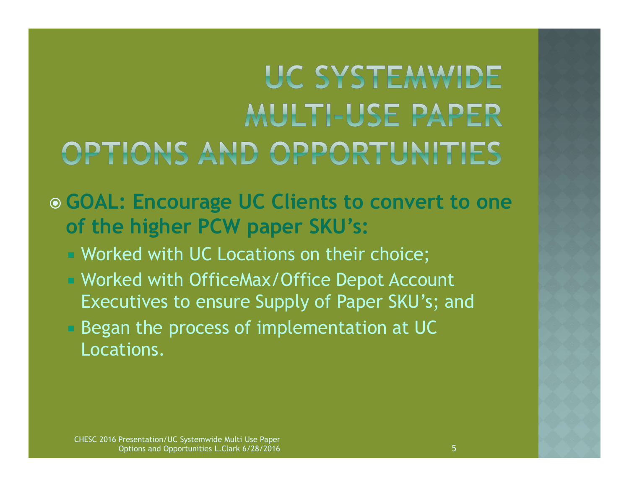- GOAL: Encourage UC Clients to convert to one of the higher PCW paper SKU's:
	- **Worked with UC Locations on their choice;**
	- Worked with OfficeMax/Office Depot Account Executives to ensure Supply of Paper SKU's; and
	- **Began the process of implementation at UC** Locations.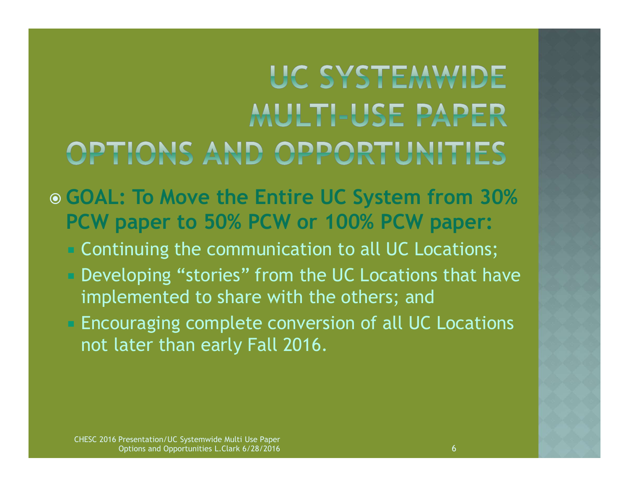- GOAL: To Move the Entire UC System from 30% PCW paper to 50% PCW or 100% PCW paper:
	- **Example 2** Continuing the communication to all UC Locations;
	- **Developing "stories" from the UC Locations that have** implemented to share with the others; and
	- **Encouraging complete conversion of all UC Locations** not later than early Fall 2016.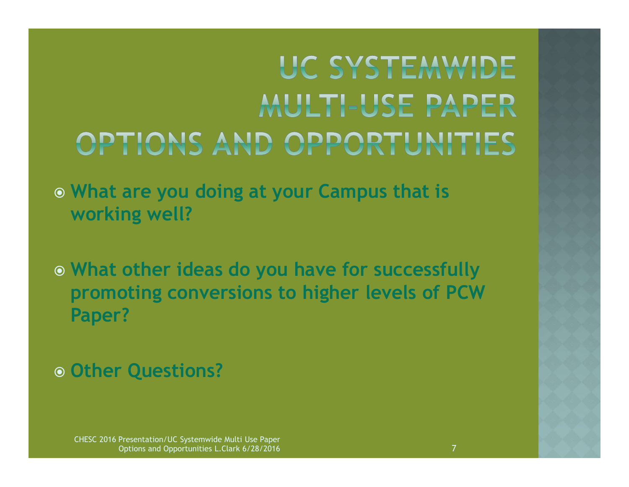- What are you doing at your Campus that is working well?
- What other ideas do you have for successfully promoting conversions to higher levels of PCW Paper?

#### Other Questions?